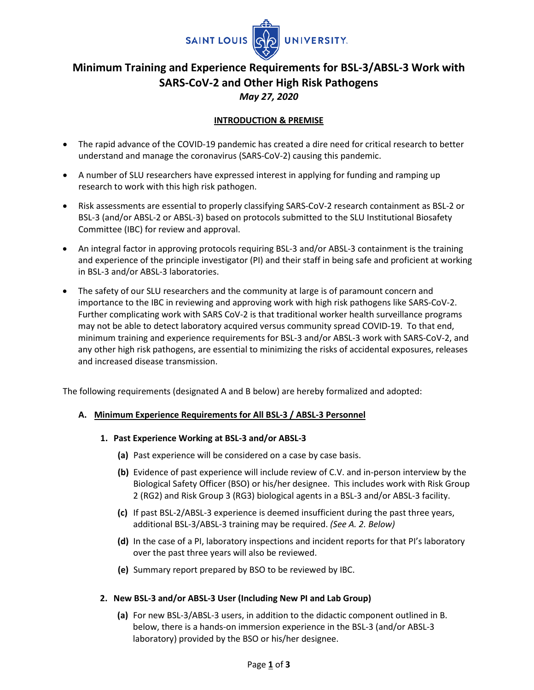

# **Minimum Training and Experience Requirements for BSL-3/ABSL-3 Work with SARS-CoV-2 and Other High Risk Pathogens** *May 27, 2020*

### **INTRODUCTION & PREMISE**

- The rapid advance of the COVID-19 pandemic has created a dire need for critical research to better understand and manage the coronavirus (SARS-CoV-2) causing this pandemic.
- A number of SLU researchers have expressed interest in applying for funding and ramping up research to work with this high risk pathogen.
- Risk assessments are essential to properly classifying SARS-CoV-2 research containment as BSL-2 or BSL-3 (and/or ABSL-2 or ABSL-3) based on protocols submitted to the SLU Institutional Biosafety Committee (IBC) for review and approval.
- An integral factor in approving protocols requiring BSL-3 and/or ABSL-3 containment is the training and experience of the principle investigator (PI) and their staff in being safe and proficient at working in BSL-3 and/or ABSL-3 laboratories.
- The safety of our SLU researchers and the community at large is of paramount concern and importance to the IBC in reviewing and approving work with high risk pathogens like SARS-CoV-2. Further complicating work with SARS CoV-2 is that traditional worker health surveillance programs may not be able to detect laboratory acquired versus community spread COVID-19. To that end, minimum training and experience requirements for BSL-3 and/or ABSL-3 work with SARS-CoV-2, and any other high risk pathogens, are essential to minimizing the risks of accidental exposures, releases and increased disease transmission.

The following requirements (designated A and B below) are hereby formalized and adopted:

### **A. Minimum Experience Requirements for All BSL-3 / ABSL-3 Personnel**

### **1. Past Experience Working at BSL-3 and/or ABSL-3**

- **(a)** Past experience will be considered on a case by case basis.
- **(b)** Evidence of past experience will include review of C.V. and in-person interview by the Biological Safety Officer (BSO) or his/her designee. This includes work with Risk Group 2 (RG2) and Risk Group 3 (RG3) biological agents in a BSL-3 and/or ABSL-3 facility.
- **(c)** If past BSL-2/ABSL-3 experience is deemed insufficient during the past three years, additional BSL-3/ABSL-3 training may be required. *(See A. 2. Below)*
- **(d)** In the case of a PI, laboratory inspections and incident reports for that PI's laboratory over the past three years will also be reviewed.
- **(e)** Summary report prepared by BSO to be reviewed by IBC.

### **2. New BSL-3 and/or ABSL-3 User (Including New PI and Lab Group)**

**(a)** For new BSL-3/ABSL-3 users, in addition to the didactic component outlined in B. below, there is a hands-on immersion experience in the BSL-3 (and/or ABSL-3 laboratory) provided by the BSO or his/her designee.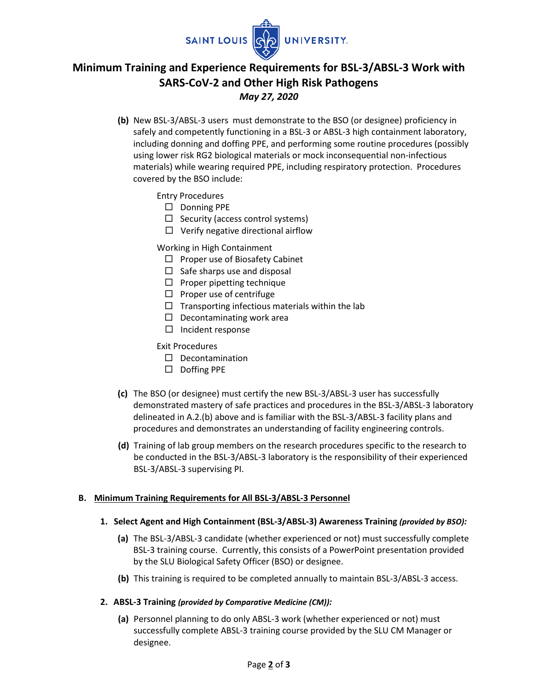

## **Minimum Training and Experience Requirements for BSL-3/ABSL-3 Work with SARS-CoV-2 and Other High Risk Pathogens** *May 27, 2020*

**(b)** New BSL-3/ABSL-3 users must demonstrate to the BSO (or designee) proficiency in safely and competently functioning in a BSL-3 or ABSL-3 high containment laboratory, including donning and doffing PPE, and performing some routine procedures (possibly using lower risk RG2 biological materials or mock inconsequential non-infectious materials) while wearing required PPE, including respiratory protection. Procedures covered by the BSO include:

Entry Procedures

- Donning PPE
- $\Box$  Security (access control systems)
- $\Box$  Verify negative directional airflow

Working in High Containment

- $\Box$  Proper use of Biosafety Cabinet
- $\Box$  Safe sharps use and disposal
- $\square$  Proper pipetting technique
- $\Box$  Proper use of centrifuge
- $\Box$  Transporting infectious materials within the lab
- $\Box$  Decontaminating work area
- $\square$  Incident response

Exit Procedures

- Decontamination
- $\Box$  Doffing PPE
- **(c)** The BSO (or designee) must certify the new BSL-3/ABSL-3 user has successfully demonstrated mastery of safe practices and procedures in the BSL-3/ABSL-3 laboratory delineated in A.2.(b) above and is familiar with the BSL-3/ABSL-3 facility plans and procedures and demonstrates an understanding of facility engineering controls.
- **(d)** Training of lab group members on the research procedures specific to the research to be conducted in the BSL-3/ABSL-3 laboratory is the responsibility of their experienced BSL-3/ABSL-3 supervising PI.

### **B. Minimum Training Requirements for All BSL-3/ABSL-3 Personnel**

- **1. Select Agent and High Containment (BSL-3/ABSL-3) Awareness Training** *(provided by BSO):* 
	- **(a)** The BSL-3/ABSL-3 candidate (whether experienced or not) must successfully complete BSL-3 training course. Currently, this consists of a PowerPoint presentation provided by the SLU Biological Safety Officer (BSO) or designee.
	- **(b)** This training is required to be completed annually to maintain BSL-3/ABSL-3 access.

#### **2. ABSL-3 Training** *(provided by Comparative Medicine (CM)):*

**(a)** Personnel planning to do only ABSL-3 work (whether experienced or not) must successfully complete ABSL-3 training course provided by the SLU CM Manager or designee.